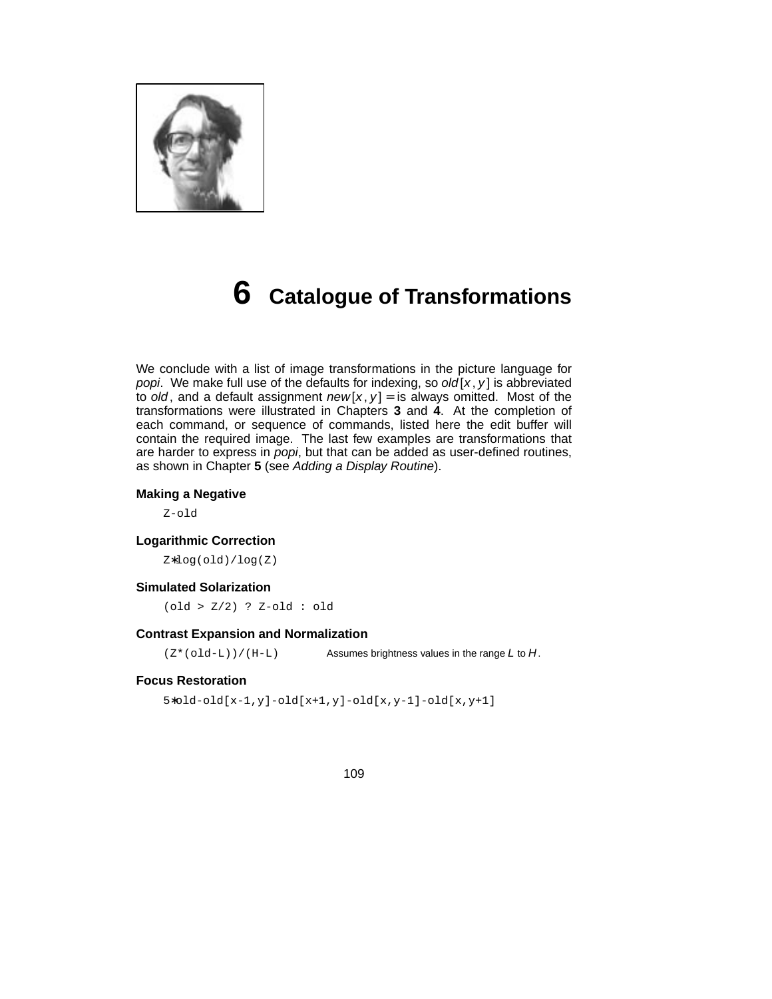

# **6 Catalogue of Transformations**

We conclude with a list of image transformations in the picture language for popi. We make full use of the defaults for indexing, so old  $[x, y]$  is abbreviated to old, and a default assignment  $new[x, y] =$  is always omitted. Most of the transfor mations were illustrated in Chapters **3** and **4**. At the completion of each command, or sequence of commands, listed here the edit buffer will contain the required image. The last few examples are transformations that are harder to express in popi, but that can be added as user-defined routines, as shown in Chapter **5** (see Adding a Display Routine).

#### **Making a Negative**

Z-old

#### **Logarithmic Correction**

Z∗log(old)/log(Z)

#### **Simulated Solarization**

(old > Z/2) ? Z-old : old

#### **Contrast Expansion and Normalization**

 $(Z^*(old-L)) / (H-L)$  Assumes brightness values in the range L to H.

#### **Focus Restoration**

5∗old-old[x-1,y]-old[x+1,y]-old[x,y-1]-old[x,y+1]

#### 109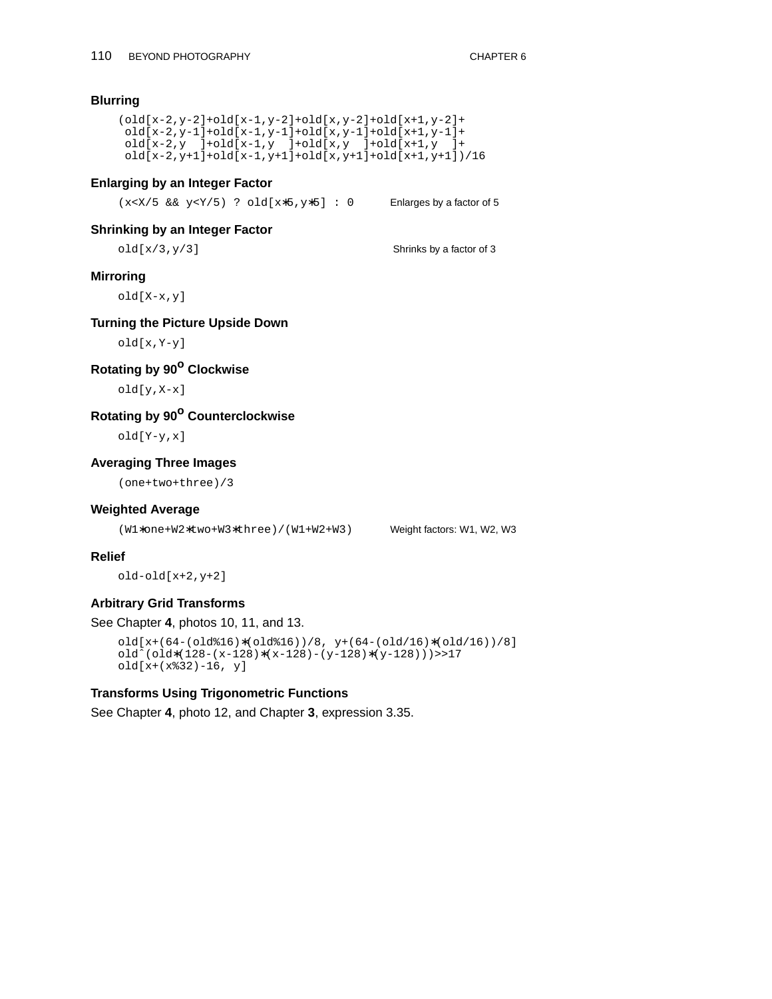## **Blurring**

```
(old[x-2,y-2]+old[x-1,y-2]+old[x,y-2]+old[x+1,y-2]+
old[x-2,y-1]+old[x-1,y-1]+old[x,y-1]+old[x+1,y-1]+
old[x-2,y ]+old[x-1,y ]+old[x,y ]+old[x+1,y ]+
old[x-2,y+1]+old[x-1,y+1]+old[x,y+1]+old[x+1,y+1])/16
```
#### **Enlarging by an Integer Factor**

|  |  |  |  | $(x < X/5 \& x \ y < Y/5)$ ? old[ $x * 5, y * 5$ ] : 0 |  |  | Enlarges by a factor of 5 |
|--|--|--|--|--------------------------------------------------------|--|--|---------------------------|
|--|--|--|--|--------------------------------------------------------|--|--|---------------------------|

#### **Shrinking by an Integer Factor**

 $old[x/3,y/3]$  Shrinks by a factor of 3

#### **Mirroring**

old[X-x,y]

# **Turning the Picture Upside Down**

old[x,Y-y]

# **Rotating by 90<sup>o</sup> Clockwise**

old[y,X-x]

# **Rotating by 90<sup>o</sup> Counterclockwise**

old[Y-y,x]

# **Averaging Three Images**

(one+two+three)/3

#### **Weighted Average**

(W1∗one+W2∗two+W3∗three)/(W1+W2+W3) Weight factors: W1, W2, W3

#### **Relief**

old-old[x+2,y+2]

#### **Arbitrary Grid Transforms**

#### See Chapter **4**, photos 10, 11, and 13.

```
old[x+(64-(old%16)∗(old%16))/8, y+(64-(old/16)∗(old/16))/8]
oldˆ(old∗(128-(x-128)∗(x-128)-(y-128)∗(y-128)))>>17
old[x+(x%32)-16, y]
```
#### **Transforms Using Trigonometric Functions**

See Chapter **4**, photo 12, and Chapter **3**, expression 3.35.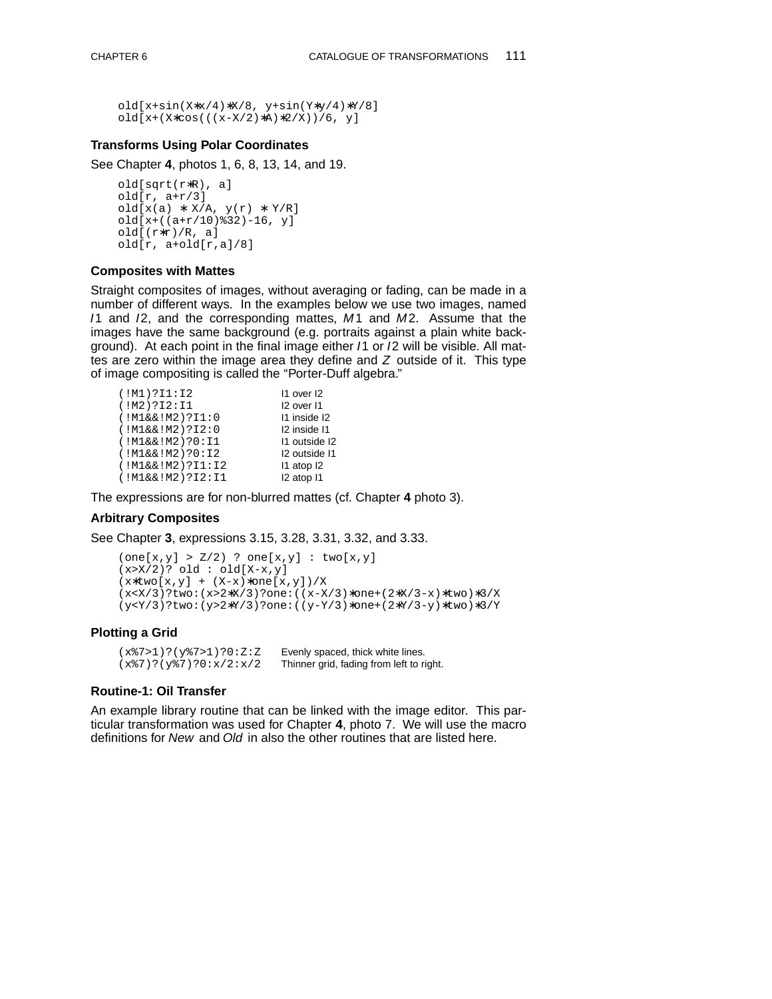```
old[x+sin(X∗x/4)∗X/8, y+sin(Y∗y/4)∗Y/8]
old[x+(X∗cos(((x-X/2)∗A)∗2/X))/6, y]
```
#### **Transforms Using Polar Coordinates**

See Chapter **4**, photos 1, 6, 8, 13, 14, and 19.

```
old[sqrt(r∗R), a]
old[r, a+r/3]
old[x(a) * X/A, y(r) * Y/R]
old[x+((a+r/10)%32)-16, y]
old[(r∗r)/R, a]
old[r, a+old[r,a]/8]
```
#### **Composites with Mattes**

Straight composites of images, without averaging or fading, can be made in a number of different ways. In the examples below we use two images, named I1 and I2, and the corresponding mattes, M1 and M2. Assume that the images have the same background (e.g. portraits against a plain white background). At each point in the final image either /1 or /2 will be visible. All mattes are zero within the image area they define and  $Z$  outside of it. This type of image compositing is called the "Porter-Duff algebra."

| (IM1)?I1:I2        | 11 over 12    |
|--------------------|---------------|
| (!M2)?I2:I1        | I2 over I1    |
| (!M1&&[M2);I1:0    | 11 inside 12  |
| (!M1&&[M2);12:0]   | 12 inside 11  |
| (!M1&&[M2);0:II]   | 11 outside 12 |
| (!M1&&&1M2);0:12   | 12 outside 11 |
| (!M1&&[M2);11:12   | 11 atop 12    |
| (!M1&&[M2);2I2:I1] | I2 atop I1    |

The expressions are for non-blurred mattes (cf. Chapter **4** photo 3).

# **Arbitrary Composites**

See Chapter **3**, expressions 3.15, 3.28, 3.31, 3.32, and 3.33.

```
(one[x,y] > Z/2) ? one[x,y] : two[x,y]
(x > X/2)? old : old[X-x,y]
(x∗two[x,y] + (X-x)∗one[x,y])/X
(x<X/3)?two:(x>2∗X/3)?one:((x-X/3)∗one+(2∗X/3-x)∗two)∗3/X
(y<Y/3)?two:(y>2∗Y/3)?one:((y-Y/3)∗one+(2∗Y/3-y)∗two)∗3/Y
```
#### **Plotting a Grid**

(x%7>1)?(y%7>1)?0:Z:Z Evenly spaced, thick white lines.  $(x\frac{2}{7})$ ?(y%7)?0:x/2:x/2 Thinner grid, fading from left to right.

#### **Routine-1: Oil Transfer**

An example library routine that can be linked with the image editor. This particular transformation was used for Chapter 4, photo 7. We will use the macro definitions for New and Old in also the other routines that are listed here.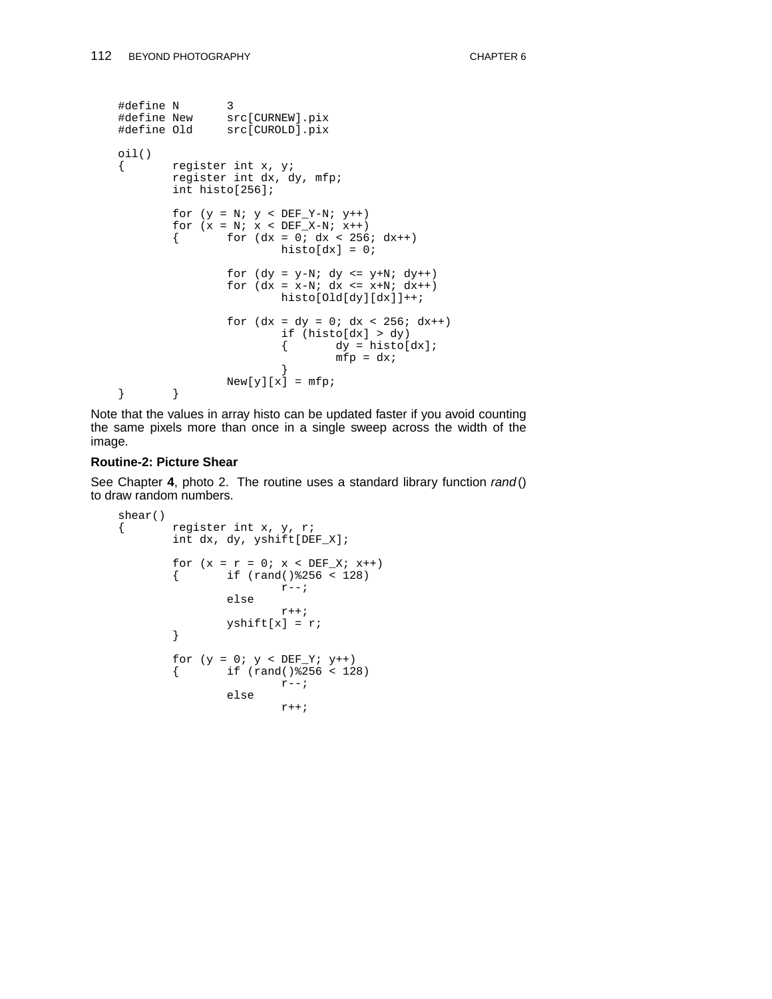```
#define N 3
#define New src[CURNEW].pix
#define Old src[CUROLD].pix
oil()
        { register int x, y;
       register int dx, dy, mfp;
       int histo[256];
        for (y = N; y < DEF_Y-N; y++)for (x = N; x < DEF_X-N; x++){ for (dx = 0; dx < 256; dx++)histo[dx] = 0;
               for (dy = y-N; dy <= y+N; dy++)for (dx = x-N; dx \le x+N; dx++)histo[Old[dy][dx]]++;
                for (dx = dy = 0; dx < 256; dx++)if (histo[dx] > dy)<br>{ dy = hist0[
                               dy = histo[dx];
                               mfp = dx;}
                New[y][x] = mfp;} }
```
Note that the values in array histo can be updated faster if you avoid counting the same pixels more than once in a single sweep across the width of the image.

# **Routine-2: Picture Shear**

See Chapter 4, photo 2. The routine uses a standard library function rand() to draw random numbers.

```
shear()
{ register int x, y, r;
       int dx, dy, yshift[DEF_X];
       for (x = r = 0; x < DEF_X; x++){ if (rand()%256 < 128)
                      r--;else
                       \mathtt{r} + + ;
               yshift[x] = r;
       }
       for (y = 0; y < DEF_Y; y++){ if (rand()%256 < 128)
                      r--;else
                       r++;
```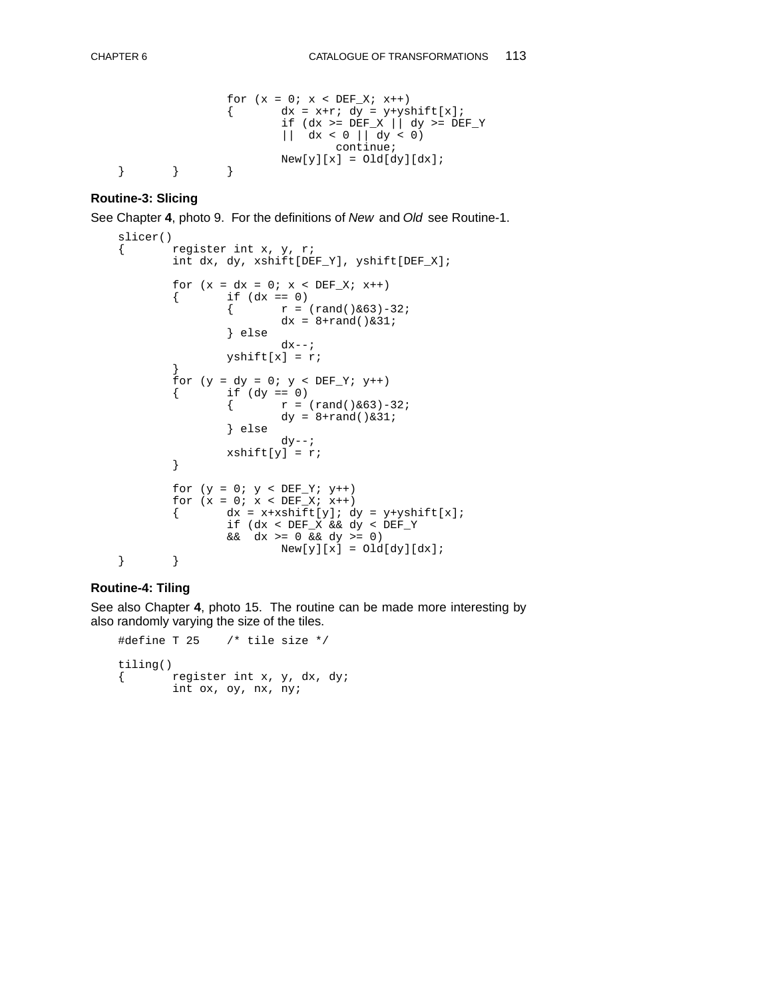```
for (x = 0; x < DEF X; x++){ dx = x+r; dy = y+yshift[x];if (dx \ge) DEF_X | \frac{1}{x} dy \ge) DEF_Y
                      || dx < 0 || dy < 0)
                              continue;
                      New[y][x] = Old(dy][dx];}}}
```
#### **Routine-3: Slicing**

See Chapter **4**, photo 9. For the definitions of New and Old see Routine-1.

```
slicer()
{ register int x, y, r;
        int dx, dy, xshift[DEF_Y], yshift[DEF_X];
         for (x = dx = 0; x < DEF_X; x++)<br>{<br>if (dx == 0)if (dx == 0)\{ r = (rand() & 63) - 32; \}dx = 8 + rand() & 31;} else
                          dx--;yshift[x] = r;}
        for (y = dy = 0; y < DEF_Y; y++){ if (dy == 0)<br>{ r = 0}
                          r = (rand() & 63) - 32;dy = 8 + rand() & 31;} else
                          dy--;xshift[y] = r;
         }
        for (y = 0; y < DEF_Y; y++)for (x = 0; x < DEF_X; x++)<br>{<br>dx = x+xshift[y]; ddx = x+xshift[y]; dy = y+yshift[x];if (dx < DEF_X && dy < DEF_Y
                  && dx >= 0 && dy >= 0)
                          New[y][x] = Old(dy][dx];
} }
```
#### **Routine-4: Tiling**

See also Chapter **4**, photo 15. The routine can be made more interesting by also randomly varying the size of the tiles.

```
#define T 25 /* tile size */
tiling()
{ register int x, y, dx, dy;
       int ox, oy, nx, ny;
```